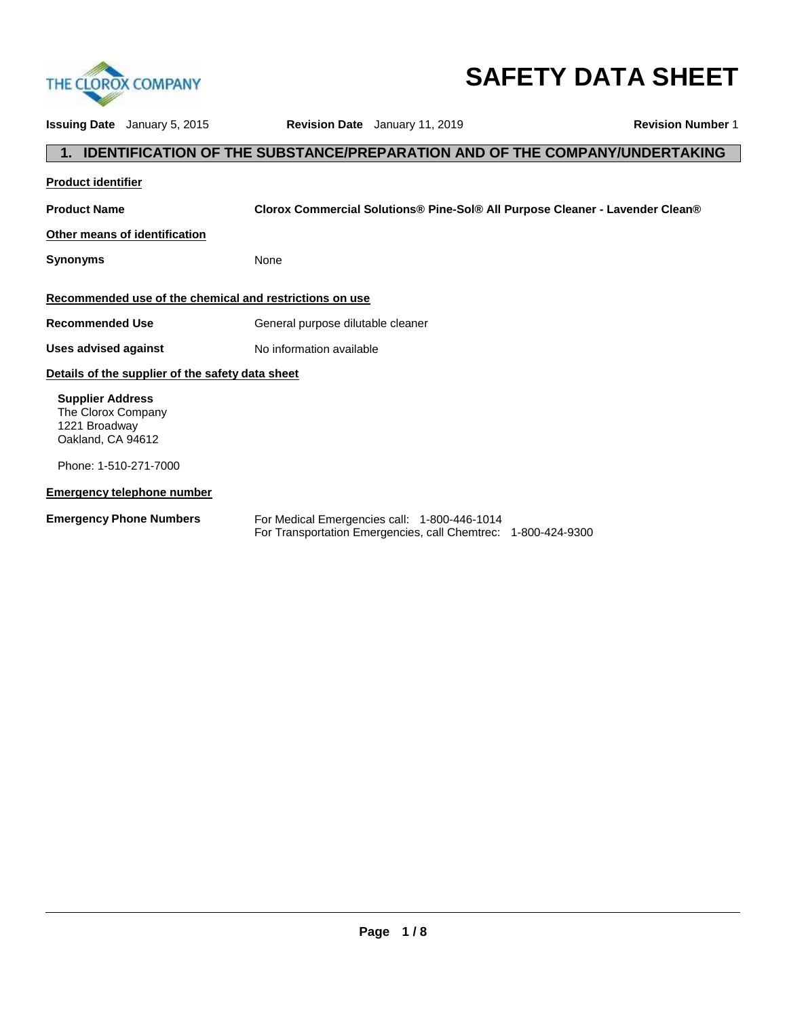

# **SAFETY DATA SHEET**

| <b>Issuing Date</b> January 5, 2015                                                 |                                   | <b>Revision Date</b> January 11, 2019                                                                         | <b>Revision Number 1</b>                                                          |
|-------------------------------------------------------------------------------------|-----------------------------------|---------------------------------------------------------------------------------------------------------------|-----------------------------------------------------------------------------------|
|                                                                                     |                                   |                                                                                                               | <b>IDENTIFICATION OF THE SUBSTANCE/PREPARATION AND OF THE COMPANY/UNDERTAKING</b> |
| <b>Product identifier</b>                                                           |                                   |                                                                                                               |                                                                                   |
| <b>Product Name</b>                                                                 |                                   |                                                                                                               | Clorox Commercial Solutions® Pine-Sol® All Purpose Cleaner - Lavender Clean®      |
| Other means of identification                                                       |                                   |                                                                                                               |                                                                                   |
| <b>Synonyms</b>                                                                     | None                              |                                                                                                               |                                                                                   |
| Recommended use of the chemical and restrictions on use                             |                                   |                                                                                                               |                                                                                   |
| <b>Recommended Use</b>                                                              | General purpose dilutable cleaner |                                                                                                               |                                                                                   |
| Uses advised against                                                                | No information available          |                                                                                                               |                                                                                   |
| Details of the supplier of the safety data sheet                                    |                                   |                                                                                                               |                                                                                   |
| <b>Supplier Address</b><br>The Clorox Company<br>1221 Broadway<br>Oakland, CA 94612 |                                   |                                                                                                               |                                                                                   |
| Phone: 1-510-271-7000                                                               |                                   |                                                                                                               |                                                                                   |
| <b>Emergency telephone number</b>                                                   |                                   |                                                                                                               |                                                                                   |
| <b>Emergency Phone Numbers</b>                                                      |                                   | For Medical Emergencies call: 1-800-446-1014<br>For Transportation Emergencies, call Chemtrec: 1-800-424-9300 |                                                                                   |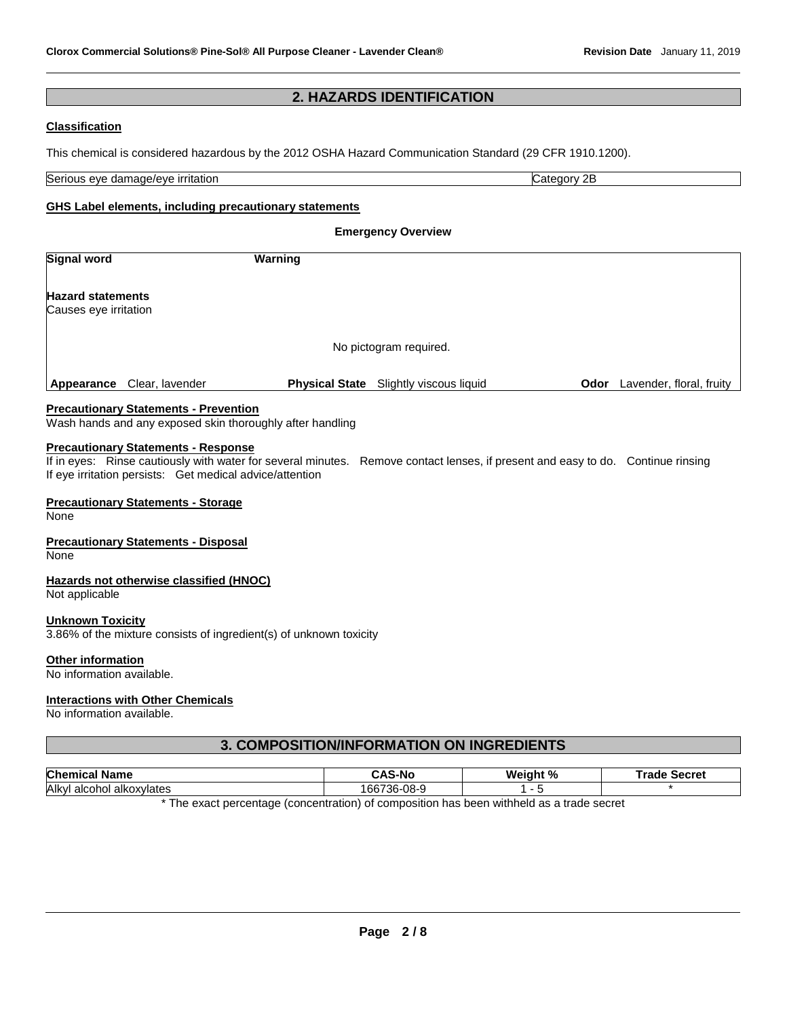# **2. HAZARDS IDENTIFICATION**

#### **Classification**

This chemical is considered hazardous by the 2012 OSHA Hazard Communication Standard (29 CFR 1910.1200).

| Serious<br>∶itatior<br>∘damade/eve<br>eve | $\sim$<br>זכ<br>า∩r\<br>12<br>71 |
|-------------------------------------------|----------------------------------|

#### **GHS Label elements, including precautionary statements**

**Emergency Overview Signal word Warning Hazard statements** Causes eye irritation No pictogram required. **Appearance** Clear, lavender **Physical State** Slightly viscous liquid **Odor** Lavender, floral, fruity

#### **Precautionary Statements - Prevention**

Wash hands and any exposed skin thoroughly after handling

#### **Precautionary Statements - Response**

If in eyes: Rinse cautiously with water for several minutes. Remove contact lenses, if present and easy to do. Continue rinsing If eye irritation persists: Get medical advice/attention

#### **Precautionary Statements - Storage**

None

#### **Precautionary Statements - Disposal**

None

#### **Hazards not otherwise classified (HNOC)**

Not applicable

#### **Unknown Toxicity**

3.86% of the mixture consists of ingredient(s) of unknown toxicity

#### **Other information**

No information available.

#### **Interactions with Other Chemicals**

No information available.

# **3. COMPOSITION/INFORMATION ON INGREDIENTS**

| <b>Chem</b><br><b>Name</b>                                                               | -No              | Weight % | ™rade<br>Secret |
|------------------------------------------------------------------------------------------|------------------|----------|-----------------|
| Alkvl<br>alkoxvlates<br>ono.<br>aico                                                     | 736-08-9<br>'66. |          |                 |
| The curricular constant (concertation) of composition has been withhold as a trade const |                  |          |                 |

The exact percentage (concentration) of composition has been withheld as a trade secret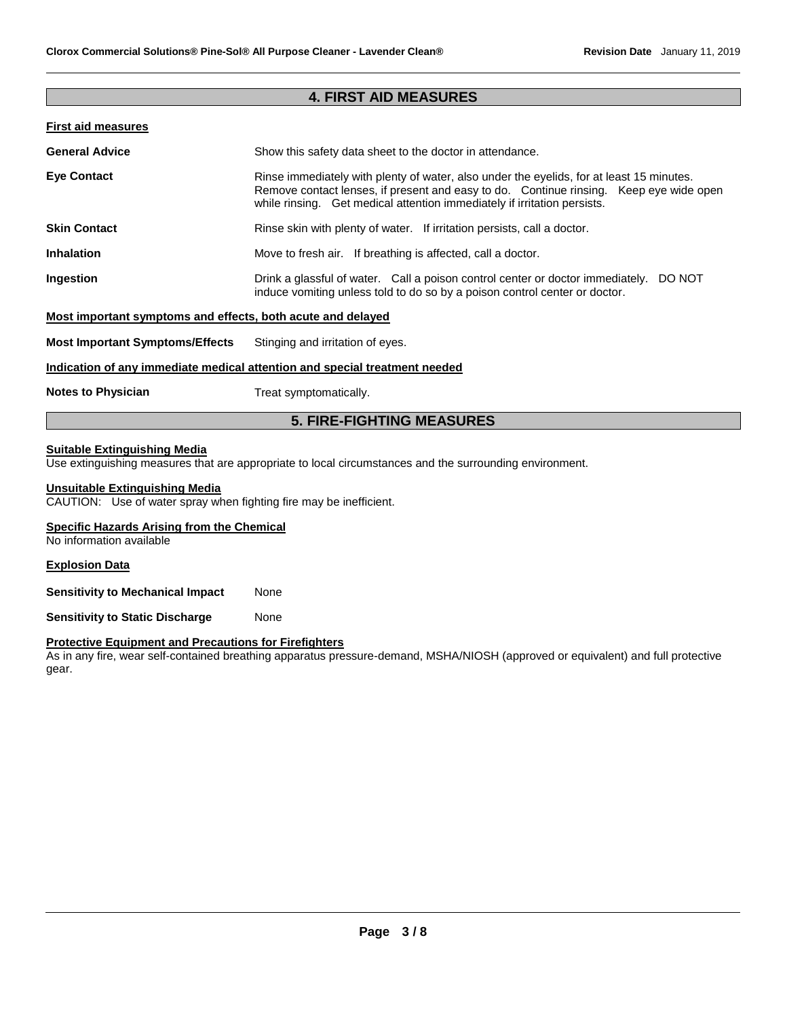### **4. FIRST AID MEASURES**

#### **First aid measures**

| <b>General Advice</b>                                       | Show this safety data sheet to the doctor in attendance.                                                                                                                                                                                                       |
|-------------------------------------------------------------|----------------------------------------------------------------------------------------------------------------------------------------------------------------------------------------------------------------------------------------------------------------|
| <b>Eve Contact</b>                                          | Rinse immediately with plenty of water, also under the eyelids, for at least 15 minutes.<br>Remove contact lenses, if present and easy to do. Continue rinsing. Keep eye wide open<br>while rinsing. Get medical attention immediately if irritation persists. |
| <b>Skin Contact</b>                                         | Rinse skin with plenty of water. If irritation persists, call a doctor.                                                                                                                                                                                        |
| <b>Inhalation</b>                                           | Move to fresh air. If breathing is affected, call a doctor.                                                                                                                                                                                                    |
| Ingestion                                                   | Drink a glassful of water. Call a poison control center or doctor immediately. DO NOT<br>induce vomiting unless told to do so by a poison control center or doctor.                                                                                            |
| Most important symptoms and effects, both acute and delayed |                                                                                                                                                                                                                                                                |
| <b>Most Important Symptoms/Effects</b>                      | Stinging and irritation of eyes.                                                                                                                                                                                                                               |
|                                                             | Indication of any immediate medical attention and special treatment needed                                                                                                                                                                                     |
| <b>Notes to Physician</b>                                   | Treat symptomatically.                                                                                                                                                                                                                                         |

# **5. FIRE-FIGHTING MEASURES**

#### **Suitable Extinguishing Media**

Use extinguishing measures that are appropriate to local circumstances and the surrounding environment.

# **Unsuitable Extinguishing Media**

CAUTION: Use of water spray when fighting fire may be inefficient.

# **Specific Hazards Arising from the Chemical**

No information available

#### **Explosion Data**

**Sensitivity to Mechanical Impact None** 

**Sensitivity to Static Discharge Mone** 

#### **Protective Equipment and Precautions for Firefighters**

As in any fire, wear self-contained breathing apparatus pressure-demand, MSHA/NIOSH (approved or equivalent) and full protective gear.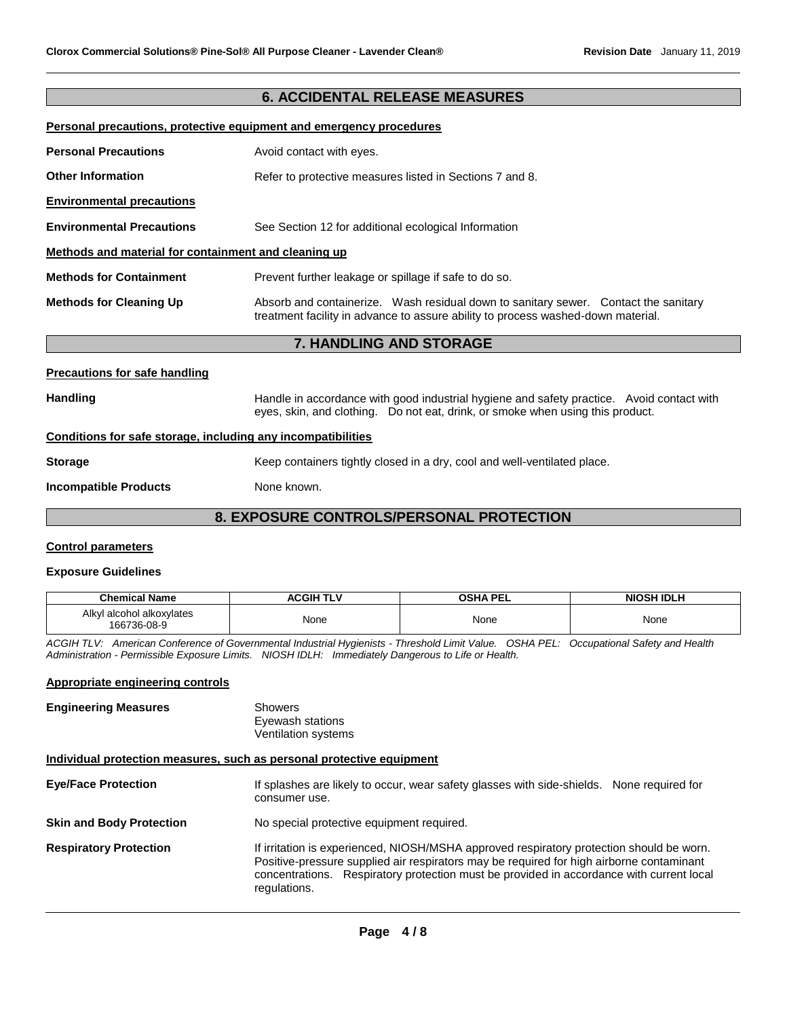# **6. ACCIDENTAL RELEASE MEASURES**

|  | Personal precautions, protective equipment and emergency procedures |  |  |
|--|---------------------------------------------------------------------|--|--|
|  |                                                                     |  |  |

| <b>Personal Precautions</b>                          | Avoid contact with eyes.                                                                                                                                                |  |
|------------------------------------------------------|-------------------------------------------------------------------------------------------------------------------------------------------------------------------------|--|
| <b>Other Information</b>                             | Refer to protective measures listed in Sections 7 and 8.                                                                                                                |  |
| <b>Environmental precautions</b>                     |                                                                                                                                                                         |  |
| <b>Environmental Precautions</b>                     | See Section 12 for additional ecological Information                                                                                                                    |  |
| Methods and material for containment and cleaning up |                                                                                                                                                                         |  |
| <b>Methods for Containment</b>                       | Prevent further leakage or spillage if safe to do so.                                                                                                                   |  |
| <b>Methods for Cleaning Up</b>                       | Absorb and containerize. Wash residual down to sanitary sewer. Contact the sanitary<br>treatment facility in advance to assure ability to process washed-down material. |  |
| <b>7. HANDLING AND STORAGE</b>                       |                                                                                                                                                                         |  |

#### **Precautions for safe handling**

Handling **Handle in accordance with good industrial hygiene and safety practice. Avoid contact with and the same thandle in accordance with good industrial hygiene and safety practice. Avoid contact with** eyes, skin, and clothing. Do not eat, drink, or smoke when using this product. **Conditions for safe storage, including any incompatibilities**

# **Storage** Keep containers tightly closed in a dry, cool and well-ventilated place.

**Incompatible Products** None known.

# **8. EXPOSURE CONTROLS/PERSONAL PROTECTION**

#### **Control parameters**

#### **Exposure Guidelines**

| <b>Chemical Name</b>                     | <b>ACGIH TLV</b> | <b>OSHA PEL</b> | <b>NIOSH IDLH</b> |
|------------------------------------------|------------------|-----------------|-------------------|
| Alkyl alcohol alkoxylates<br>166736-08-9 | None             | None            | None              |

*ACGIH TLV: American Conference of Governmental Industrial Hygienists - Threshold Limit Value. OSHA PEL: Occupational Safety and Health Administration - Permissible Exposure Limits. NIOSH IDLH: Immediately Dangerous to Life or Health.*

# **Appropriate engineering controls**

| Showers             |
|---------------------|
| Eyewash stations    |
| Ventilation systems |
|                     |

#### **Individual protection measures, such as personal protective equipment**

| <b>Eye/Face Protection</b>      | If splashes are likely to occur, wear safety glasses with side-shields. None required for<br>consumer use.                                                                                                                                                                                       |
|---------------------------------|--------------------------------------------------------------------------------------------------------------------------------------------------------------------------------------------------------------------------------------------------------------------------------------------------|
| <b>Skin and Body Protection</b> | No special protective equipment required.                                                                                                                                                                                                                                                        |
| <b>Respiratory Protection</b>   | If irritation is experienced, NIOSH/MSHA approved respiratory protection should be worn.<br>Positive-pressure supplied air respirators may be required for high airborne contaminant<br>concentrations. Respiratory protection must be provided in accordance with current local<br>regulations. |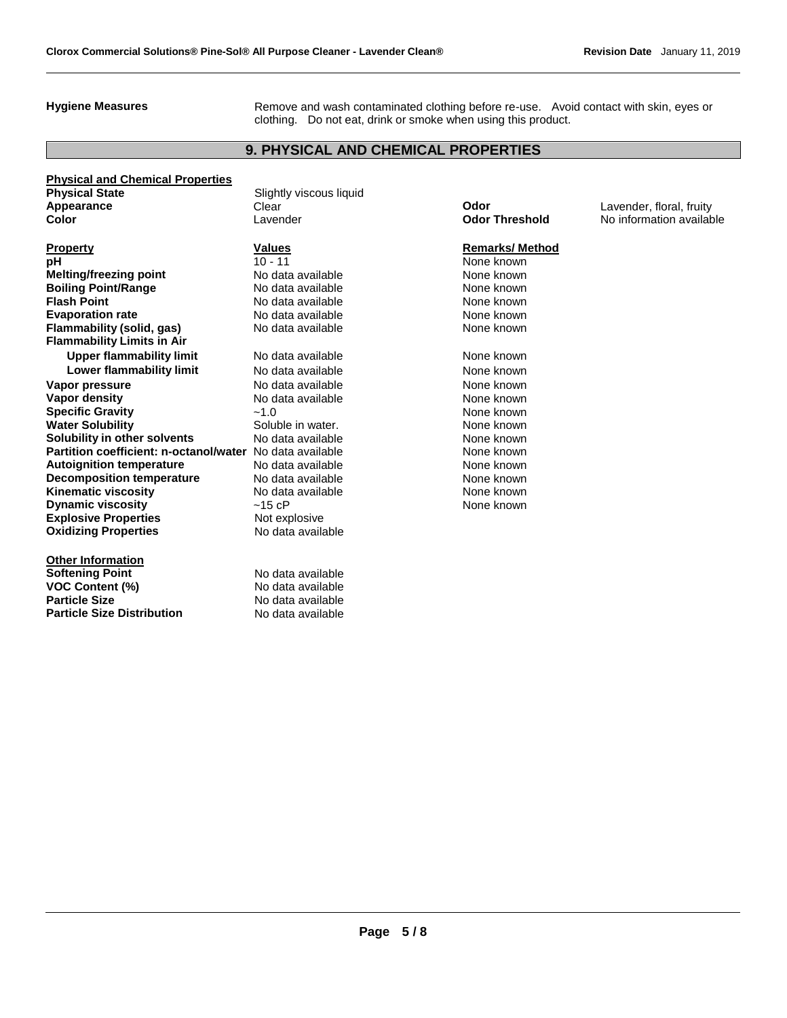Hygiene Measures **Remove and wash contaminated clothing before re-use.** Avoid contact with skin, eyes or clothing. Do not eat, drink or smoke when using this product.

# **9. PHYSICAL AND CHEMICAL PROPERTIES**

**Physical and Chemical Properties Physical State Slightly viscous liquid Physical State Appearance Clear Clear Clear <b>Odor** Lavender, floral, fruity **Color** Lavender **Odor Threshold** No information available

**Property Remarks/ Method Values Remarks/ Method pH** 10 - 11 None known **Melting/freezing point No data available Melting Allows** None known **Boiling Point/Range No data available** None known **Flash Point No. 2018 No. 2018 No. 2018 None known None known Evaporation rate No data available None known None known Flammability (solid, gas)** No data available None known **Flammability Limits in Air Upper flammability limit** No data available None Known None known **Lower flammability limit No data available None known None known Vapor pressure No. 2018** Note that available **None known**<br> **Vapor density No. 2018** Note that available **None known**<br>
None known **Specific Gravity 1.0**  $\sim$ 1.0 None known **Water Solubility <b>Water Solubility Soluble in water.** None known **Solubility in other solvents** No data available None known<br> **Partition coefficient: n-octanol/water** No data available None Known **Partition coefficient: n-octanol/water** No data available **None known**<br> **Autoignition temperature** No data available None known **Autoignition temperature Decomposition temperature** No data available None Known None known **Kinematic viscosity Note 2008** Note available **None known** None known **Dynamic viscosity**  $-15$  cP None known **Explosive Properties** Not explosive **Oxidizing Properties** No data available

**Other Information Softening Point No data available VOC Content (%)** No data available **Particle Size No data available Particle Size Distribution** No data available

No data available None known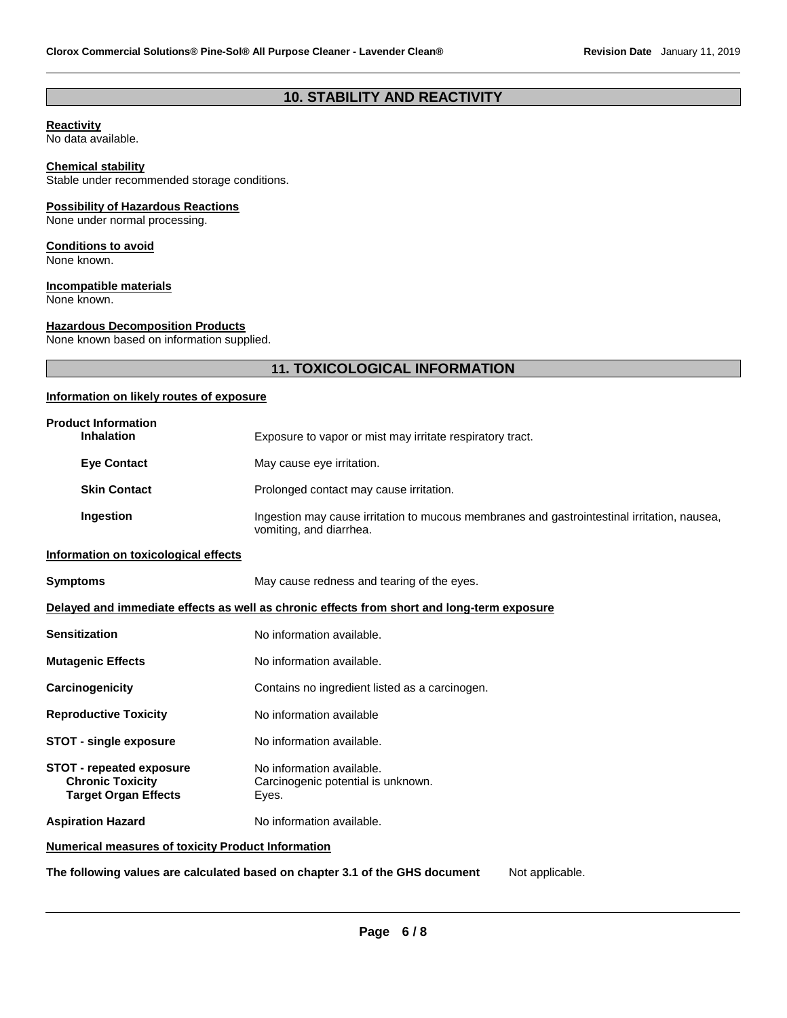# **10. STABILITY AND REACTIVITY**

#### **Reactivity**

No data available.

# **Chemical stability**

Stable under recommended storage conditions.

#### **Possibility of Hazardous Reactions**

None under normal processing.

#### **Conditions to avoid**

None known.

#### **Incompatible materials**

None known.

#### **Hazardous Decomposition Products**

None known based on information supplied.

# **11. TOXICOLOGICAL INFORMATION**

# **Information on likely routes of exposure**

| <b>Product Information</b><br><b>Inhalation</b>                                           | Exposure to vapor or mist may irritate respiratory tract.                                                              |
|-------------------------------------------------------------------------------------------|------------------------------------------------------------------------------------------------------------------------|
| <b>Eye Contact</b>                                                                        | May cause eye irritation.                                                                                              |
| <b>Skin Contact</b>                                                                       | Prolonged contact may cause irritation.                                                                                |
| Ingestion                                                                                 | Ingestion may cause irritation to mucous membranes and gastrointestinal irritation, nausea,<br>vomiting, and diarrhea. |
| Information on toxicological effects                                                      |                                                                                                                        |
| <b>Symptoms</b>                                                                           | May cause redness and tearing of the eyes.                                                                             |
|                                                                                           | Delayed and immediate effects as well as chronic effects from short and long-term exposure                             |
| <b>Sensitization</b>                                                                      | No information available.                                                                                              |
| <b>Mutagenic Effects</b>                                                                  | No information available.                                                                                              |
| Carcinogenicity                                                                           | Contains no ingredient listed as a carcinogen.                                                                         |
| <b>Reproductive Toxicity</b>                                                              | No information available                                                                                               |
| <b>STOT - single exposure</b>                                                             | No information available.                                                                                              |
| <b>STOT - repeated exposure</b><br><b>Chronic Toxicity</b><br><b>Target Organ Effects</b> | No information available.<br>Carcinogenic potential is unknown.<br>Eyes.                                               |
| <b>Aspiration Hazard</b>                                                                  | No information available.                                                                                              |
| <b>Numerical measures of toxicity Product Information</b>                                 |                                                                                                                        |

**The following values are calculated based on chapter 3.1 of the GHS document** Not applicable.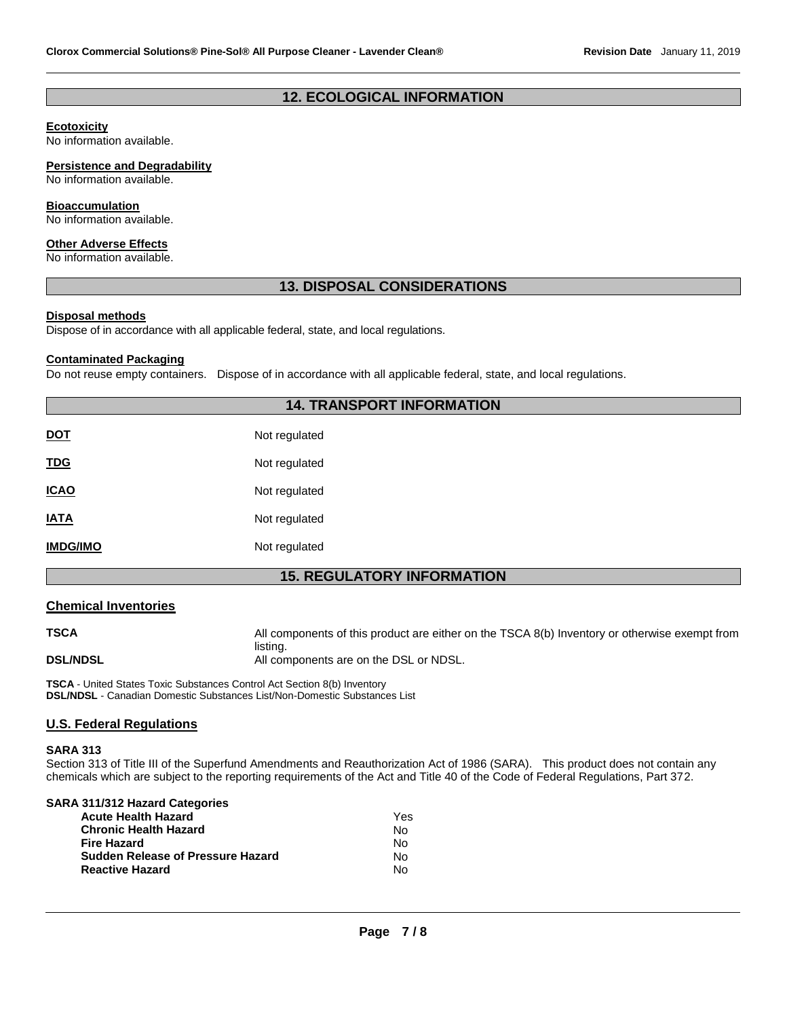# **12. ECOLOGICAL INFORMATION**

#### **Ecotoxicity**

No information available.

#### **Persistence and Degradability**

No information available.

#### **Bioaccumulation**

No information available.

#### **Other Adverse Effects**

No information available.

#### **13. DISPOSAL CONSIDERATIONS**

#### **Disposal methods**

Dispose of in accordance with all applicable federal, state, and local regulations.

#### **Contaminated Packaging**

Do not reuse empty containers. Dispose of in accordance with all applicable federal, state, and local regulations.

# **14. TRANSPORT INFORMATION**

| <b>DOT</b>      | Not regulated |
|-----------------|---------------|
| <b>TDG</b>      | Not regulated |
| <b>ICAO</b>     | Not regulated |
| <b>IATA</b>     | Not regulated |
| <b>IMDG/IMO</b> | Not regulated |

# **15. REGULATORY INFORMATION**

#### **Chemical Inventories**

**TSCA** All components of this product are either on the TSCA 8(b) Inventory or otherwise exempt from listing. **DSL/NDSL** All components are on the DSL or NDSL.

**TSCA** - United States Toxic Substances Control Act Section 8(b) Inventory **DSL/NDSL** - Canadian Domestic Substances List/Non-Domestic Substances List

### **U.S. Federal Regulations**

#### **SARA 313**

Section 313 of Title III of the Superfund Amendments and Reauthorization Act of 1986 (SARA). This product does not contain any chemicals which are subject to the reporting requirements of the Act and Title 40 of the Code of Federal Regulations, Part 372.

| SARA 311/312 Hazard Categories           |     |
|------------------------------------------|-----|
| <b>Acute Health Hazard</b>               | Yes |
| <b>Chronic Health Hazard</b>             | N٥  |
| <b>Fire Hazard</b>                       | Nο  |
| <b>Sudden Release of Pressure Hazard</b> | N٥  |
| <b>Reactive Hazard</b>                   | N٥  |
|                                          |     |